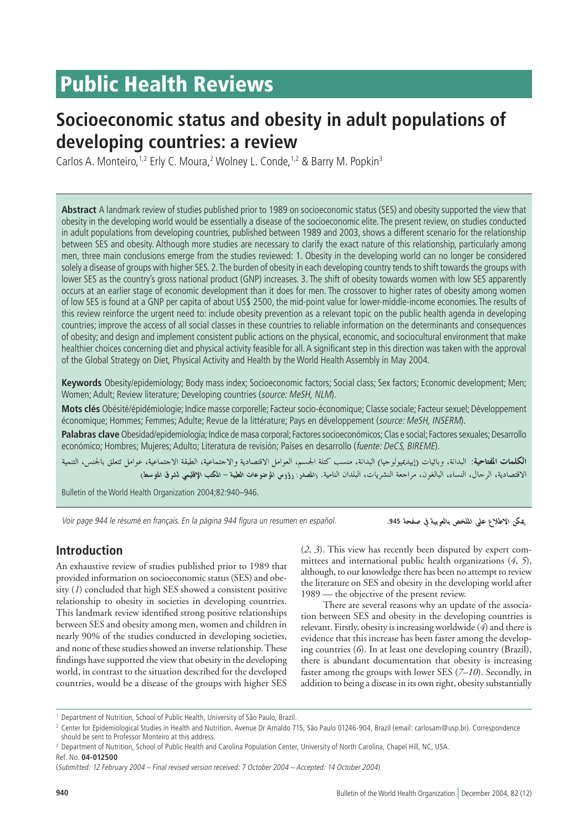# Public Health Reviews

# **Socioeconomic status and obesity in adult populations of developing countries: a review**

Carlos A. Monteiro,<sup>1,2</sup> Erly C. Moura,<sup>2</sup> Wolney L. Conde,<sup>1,2</sup> & Barry M. Popkin<sup>3</sup>

**Abstract** A landmark review of studies published prior to 1989 on socioeconomic status (SES) and obesity supported the view that obesity in the developing world would be essentially a disease of the socioeconomic elite. The present review, on studies conducted in adult populations from developing countries, published between 1989 and 2003, shows a different scenario for the relationship between SES and obesity. Although more studies are necessary to clarify the exact nature of this relationship, particularly among men, three main conclusions emerge from the studies reviewed: 1. Obesity in the developing world can no longer be considered solely a disease of groups with higher SES. 2. The burden of obesity in each developing country tends to shift towards the groups with lower SES as the country's gross national product (GNP) increases. 3. The shift of obesity towards women with low SES apparently occurs at an earlier stage of economic development than it does for men. The crossover to higher rates of obesity among women of low SES is found at a GNP per capita of about US\$ 2500, the mid-point value for lower-middle-income economies. The results of this review reinforce the urgent need to: include obesity prevention as a relevant topic on the public health agenda in developing countries; improve the access of all social classes in these countries to reliable information on the determinants and consequences of obesity; and design and implement consistent public actions on the physical, economic, and sociocultural environment that make healthier choices concerning diet and physical activity feasible for all. A significant step in this direction was taken with the approval of the Global Strategy on Diet, Physical Activity and Health by the World Health Assembly in May 2004.

**Keywords** Obesity/epidemiology; Body mass index; Socioeconomic factors; Social class; Sex factors; Economic development; Men; Women; Adult; Review literature; Developing countries (source: MeSH, NLM).

**Mots clés** Obésité/épidémiologie; Indice masse corporelle; Facteur socio-économique; Classe sociale; Facteur sexuel; Développement économique; Hommes; Femmes; Adulte; Revue de la littérature; Pays en développement (source: MeSH, INSERM).

**Palabras clave** Obesidad/epidemiología; Indice de masa corporal; Factores socioeconómicos; Clas e social; Factores sexuales; Desarrollo económico; Hombres; Mujeres; Adulto; Literatura de revisión; Países en desarrollo (fuente: DeCS, BIREME).

ا**لكلمات المفتاحية**: البدانة، وبائيات (إبيديميولوجيا) البدانة، منسب كتلة الجسم، العوامل الاقتصادية والاجتماعية، الطبقة الاجتماعية، عوامل تتعلق بالجنس، التنمية الاقتصادية، الرجال، النساء، البالغون، مراجعة النشريات، البلدان النامية. (المصدر: رؤوس الموضوعات الطبية – المكتب الإقليمي لشوق المتوسط)

Bulletin of the World Health Organization 2004;82:940–946.

Voir page 944 le résumé en français. En la página 944 figura un resumen en español.

يمكن الاطلاع على الملخص بالعربية في صفحة 945.

# **Introduction**

An exhaustive review of studies published prior to 1989 that provided information on socioeconomic status (SES) and obesity (*1*) concluded that high SES showed a consistent positive relationship to obesity in societies in developing countries. This landmark review identified strong positive relationships between SES and obesity among men, women and children in nearly 90% of the studies conducted in developing societies, and none of these studies showed an inverse relationship. These findings have supported the view that obesity in the developing world, in contrast to the situation described for the developed countries, would be a disease of the groups with higher SES

(*2*, *3*). This view has recently been disputed by expert committees and international public health organizations (*4*, *5*), although, to our knowledge there has been no attempt to review the literature on SES and obesity in the developing world after 1989 — the objective of the present review.

There are several reasons why an update of the association between SES and obesity in the developing countries is relevant. Firstly, obesity is increasing worldwide (*4*) and there is evidence that this increase has been faster among the developing countries (*6*). In at least one developing country (Brazil), there is abundant documentation that obesity is increasing faster among the groups with lower SES (*7–10*). Secondly, in addition to being a disease in its own right, obesity substantially

Ref. No. **04-012500**

<sup>&</sup>lt;sup>1</sup> Department of Nutrition, School of Public Health, University of São Paulo, Brazil.

<sup>2</sup> Center for Epidemiological Studies in Health and Nutrition. Avenue Dr Arnaldo 715, São Paulo 01246-904, Brazil (email: carlosam@usp.br). Correspondence should be sent to Professor Monteiro at this address.

<sup>3</sup> Department of Nutrition, School of Public Health and Carolina Population Center, University of North Carolina, Chapel Hill, NC, USA.

<sup>(</sup>Submitted: 12 February 2004 – Final revised version received: 7 October 2004 – Accepted: 14 October 2004)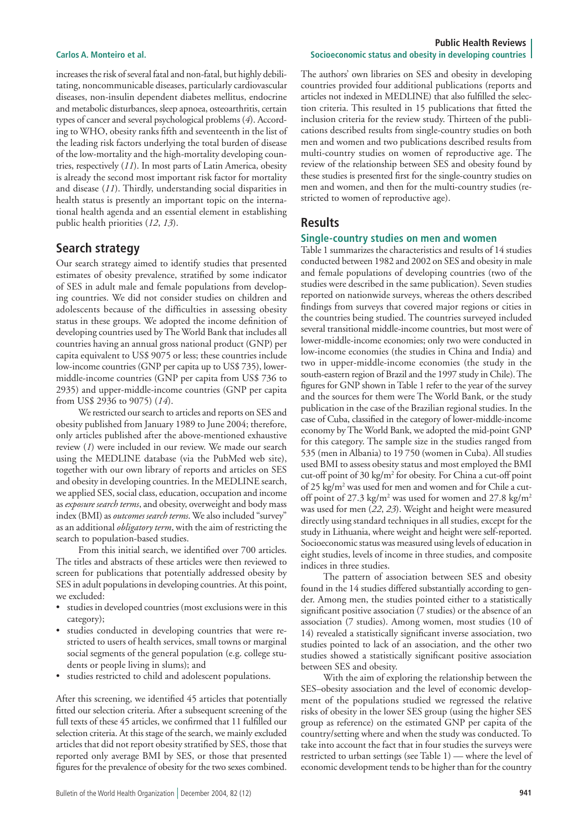increases the risk of several fatal and non-fatal, but highly debilitating, noncommunicable diseases, particularly cardiovascular diseases, non-insulin dependent diabetes mellitus, endocrine and metabolic disturbances, sleep apnoea, osteoarthritis, certain types of cancer and several psychological problems (*4*). According to WHO, obesity ranks fifth and seventeenth in the list of the leading risk factors underlying the total burden of disease of the low-mortality and the high-mortality developing countries, respectively (*11*). In most parts of Latin America, obesity is already the second most important risk factor for mortality and disease (*11*). Thirdly, understanding social disparities in health status is presently an important topic on the international health agenda and an essential element in establishing public health priorities (*12*, *13*).

### **Search strategy**

Our search strategy aimed to identify studies that presented estimates of obesity prevalence, stratified by some indicator of SES in adult male and female populations from developing countries. We did not consider studies on children and adolescents because of the difficulties in assessing obesity status in these groups. We adopted the income definition of developing countries used by The World Bank that includes all countries having an annual gross national product (GNP) per capita equivalent to US\$ 9075 or less; these countries include low-income countries (GNP per capita up to US\$ 735), lowermiddle-income countries (GNP per capita from US\$ 736 to 2935) and upper-middle-income countries (GNP per capita from US\$ 2936 to 9075) (*14*).

We restricted our search to articles and reports on SES and obesity published from January 1989 to June 2004; therefore, only articles published after the above-mentioned exhaustive review (*1*) were included in our review. We made our search using the MEDLINE database (via the PubMed web site), together with our own library of reports and articles on SES and obesity in developing countries. In the MEDLINE search, we applied SES, social class, education, occupation and income as *exposure search terms*, and obesity, overweight and body mass index (BMI) as *outcomes search terms*. We also included "survey" as an additional *obligatory term*, with the aim of restricting the search to population-based studies.

From this initial search, we identified over 700 articles. The titles and abstracts of these articles were then reviewed to screen for publications that potentially addressed obesity by SES in adult populations in developing countries. At this point, we excluded:

- studies in developed countries (most exclusions were in this category);
- studies conducted in developing countries that were restricted to users of health services, small towns or marginal social segments of the general population (e.g. college students or people living in slums); and
- studies restricted to child and adolescent populations.

After this screening, we identified 45 articles that potentially fitted our selection criteria. After a subsequent screening of the full texts of these 45 articles, we confirmed that 11 fulfilled our selection criteria. At this stage of the search, we mainly excluded articles that did not report obesity stratified by SES, those that reported only average BMI by SES, or those that presented figures for the prevalence of obesity for the two sexes combined. The authors' own libraries on SES and obesity in developing countries provided four additional publications (reports and articles not indexed in MEDLINE) that also fulfilled the selection criteria. This resulted in 15 publications that fitted the inclusion criteria for the review study. Thirteen of the publications described results from single-country studies on both men and women and two publications described results from multi-country studies on women of reproductive age. The review of the relationship between SES and obesity found by these studies is presented first for the single-country studies on men and women, and then for the multi-country studies (restricted to women of reproductive age).

# **Results**

### **Single-country studies on men and women**

Table 1 summarizes the characteristics and results of 14 studies conducted between 1982 and 2002 on SES and obesity in male and female populations of developing countries (two of the studies were described in the same publication). Seven studies reported on nationwide surveys, whereas the others described findings from surveys that covered major regions or cities in the countries being studied. The countries surveyed included several transitional middle-income countries, but most were of lower-middle-income economies; only two were conducted in low-income economies (the studies in China and India) and two in upper-middle-income economies (the study in the south-eastern region of Brazil and the 1997 study in Chile). The figures for GNP shown in Table 1 refer to the year of the survey and the sources for them were The World Bank, or the study publication in the case of the Brazilian regional studies. In the case of Cuba, classified in the category of lower-middle-income economy by The World Bank, we adopted the mid-point GNP for this category. The sample size in the studies ranged from 535 (men in Albania) to 19 750 (women in Cuba). All studies used BMI to assess obesity status and most employed the BMI cut-off point of 30 kg/m<sup>2</sup> for obesity. For China a cut-off point of 25 kg/m2 was used for men and women and for Chile a cutoff point of 27.3 kg/m<sup>2</sup> was used for women and 27.8 kg/m<sup>2</sup> was used for men (*22*, *23*). Weight and height were measured directly using standard techniques in all studies, except for the study in Lithuania, where weight and height were self-reported. Socioeconomic status was measured using levels of education in eight studies, levels of income in three studies, and composite indices in three studies.

The pattern of association between SES and obesity found in the 14 studies differed substantially according to gender. Among men, the studies pointed either to a statistically significant positive association (7 studies) or the absence of an association (7 studies). Among women, most studies (10 of 14) revealed a statistically significant inverse association, two studies pointed to lack of an association, and the other two studies showed a statistically significant positive association between SES and obesity.

With the aim of exploring the relationship between the SES–obesity association and the level of economic development of the populations studied we regressed the relative risks of obesity in the lower SES group (using the higher SES group as reference) on the estimated GNP per capita of the country/setting where and when the study was conducted. To take into account the fact that in four studies the surveys were restricted to urban settings (see Table 1) — where the level of economic development tends to be higher than for the country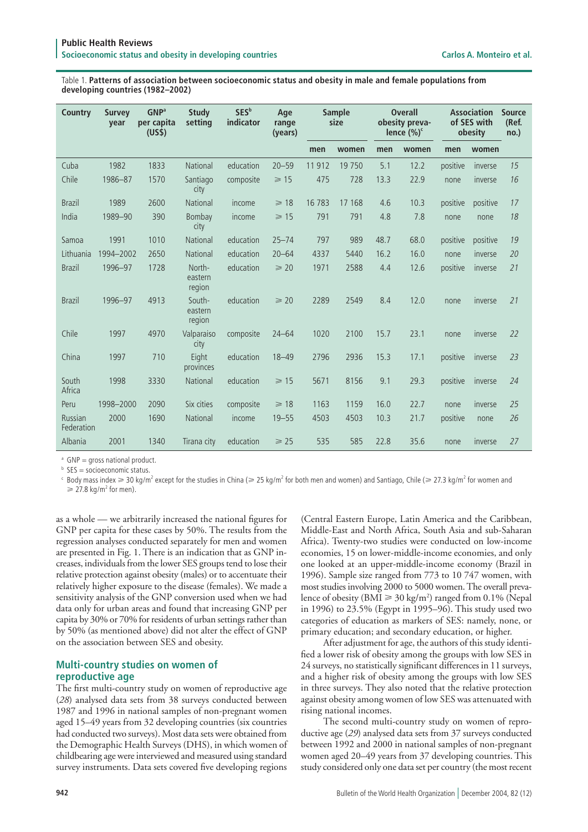Table 1. **Patterns of association between socioeconomic status and obesity in male and female populations from developing countries (1982–2002)**

| Country               | <b>Survey</b><br>year | GNP <sup>a</sup><br>per capita<br>(US\$) | <b>Study</b><br>setting     | <b>SES</b> b<br>indicator | Age<br>range<br>(years) | Sample<br>size |        | <b>Overall</b><br>obesity preva-<br>lence $(\%)^c$ |       | <b>Association</b><br>of SES with<br>obesity |          | <b>Source</b><br>(Ref.<br>no.) |
|-----------------------|-----------------------|------------------------------------------|-----------------------------|---------------------------|-------------------------|----------------|--------|----------------------------------------------------|-------|----------------------------------------------|----------|--------------------------------|
|                       |                       |                                          |                             |                           |                         | men            | women  | men                                                | women | men                                          | women    |                                |
| Cuba                  | 1982                  | 1833                                     | National                    | education                 | $20 - 59$               | 11912          | 19 750 | 5.1                                                | 12.2  | positive                                     | inverse  | 15                             |
| Chile                 | 1986-87               | 1570                                     | Santiago<br>city            | composite                 | $\geq 15$               | 475            | 728    | 13.3                                               | 22.9  | none                                         | inverse  | 16                             |
| <b>Brazil</b>         | 1989                  | 2600                                     | National                    | income                    | $\geq 18$               | 16 783         | 17 168 | 4.6                                                | 10.3  | positive                                     | positive | 17                             |
| India                 | 1989-90               | 390                                      | <b>Bombay</b><br>city       | income                    | $\geq 15$               | 791            | 791    | 4.8                                                | 7.8   | none                                         | none     | 18                             |
| Samoa                 | 1991                  | 1010                                     | <b>National</b>             | education                 | $25 - 74$               | 797            | 989    | 48.7                                               | 68.0  | positive                                     | positive | 19                             |
| Lithuania             | 1994-2002             | 2650                                     | National                    | education                 | $20 - 64$               | 4337           | 5440   | 16.2                                               | 16.0  | none                                         | inverse  | 20                             |
| <b>Brazil</b>         | 1996-97               | 1728                                     | North-<br>eastern<br>region | education                 | $\geqslant$ 20          | 1971           | 2588   | 4.4                                                | 12.6  | positive                                     | inverse  | 21                             |
| <b>Brazil</b>         | 1996-97               | 4913                                     | South-<br>eastern<br>region | education                 | $\geqslant$ 20          | 2289           | 2549   | 8.4                                                | 12.0  | none                                         | inverse  | 21                             |
| Chile                 | 1997                  | 4970                                     | Valparaiso<br>city          | composite                 | $24 - 64$               | 1020           | 2100   | 15.7                                               | 23.1  | none                                         | inverse  | 22                             |
| China                 | 1997                  | 710                                      | Eight<br>provinces          | education                 | $18 - 49$               | 2796           | 2936   | 15.3                                               | 17.1  | positive                                     | inverse  | 23                             |
| South<br>Africa       | 1998                  | 3330                                     | National                    | education                 | $\geq 15$               | 5671           | 8156   | 9.1                                                | 29.3  | positive                                     | inverse  | 24                             |
| Peru                  | 1998-2000             | 2090                                     | Six cities                  | composite                 | $\geq 18$               | 1163           | 1159   | 16.0                                               | 22.7  | none                                         | inverse  | 25                             |
| Russian<br>Federation | 2000                  | 1690                                     | National                    | income                    | $19 - 55$               | 4503           | 4503   | 10.3                                               | 21.7  | positive                                     | none     | 26                             |
| Albania               | 2001                  | 1340                                     | Tirana city                 | education                 | $\geqslant$ 25          | 535            | 585    | 22.8                                               | 35.6  | none                                         | inverse  | 27                             |

<sup>a</sup> GNP = gross national product.

b SES = socioeconomic status.

 $\cdot$  Body mass index  $\geqslant$  30 kg/m<sup>2</sup> except for the studies in China ( $\geqslant$  25 kg/m<sup>2</sup> for both men and women) and Santiago, Chile ( $\geqslant$  27.3 kg/m<sup>2</sup> for women and

 $\geqslant$  27.8 kg/m<sup>2</sup> for men).

as a whole — we arbitrarily increased the national figures for GNP per capita for these cases by 50%. The results from the regression analyses conducted separately for men and women are presented in Fig. 1. There is an indication that as GNP increases, individuals from the lower SES groups tend to lose their relative protection against obesity (males) or to accentuate their relatively higher exposure to the disease (females). We made a sensitivity analysis of the GNP conversion used when we had data only for urban areas and found that increasing GNP per capita by 30% or 70% for residents of urban settings rather than by 50% (as mentioned above) did not alter the effect of GNP on the association between SES and obesity.

## **Multi-country studies on women of reproductive age**

The first multi-country study on women of reproductive age (*28*) analysed data sets from 38 surveys conducted between 1987 and 1996 in national samples of non-pregnant women aged 15–49 years from 32 developing countries (six countries had conducted two surveys). Most data sets were obtained from the Demographic Health Surveys (DHS), in which women of childbearing age were interviewed and measured using standard survey instruments. Data sets covered five developing regions

(Central Eastern Europe, Latin America and the Caribbean, Middle-East and North Africa, South Asia and sub-Saharan Africa). Twenty-two studies were conducted on low-income economies, 15 on lower-middle-income economies, and only one looked at an upper-middle-income economy (Brazil in 1996). Sample size ranged from 773 to 10 747 women, with most studies involving 2000 to 5000 women. The overall prevalence of obesity (BMI  $\geq$  30 kg/m<sup>2</sup>) ranged from 0.1% (Nepal in 1996) to 23.5% (Egypt in 1995–96). This study used two categories of education as markers of SES: namely, none, or primary education; and secondary education, or higher.

After adjustment for age, the authors of this study identified a lower risk of obesity among the groups with low SES in 24 surveys, no statistically significant differences in 11 surveys, and a higher risk of obesity among the groups with low SES in three surveys. They also noted that the relative protection against obesity among women of low SES was attenuated with rising national incomes.

The second multi-country study on women of reproductive age (*29*) analysed data sets from 37 surveys conducted between 1992 and 2000 in national samples of non-pregnant women aged 20–49 years from 37 developing countries. This study considered only one data set per country (the most recent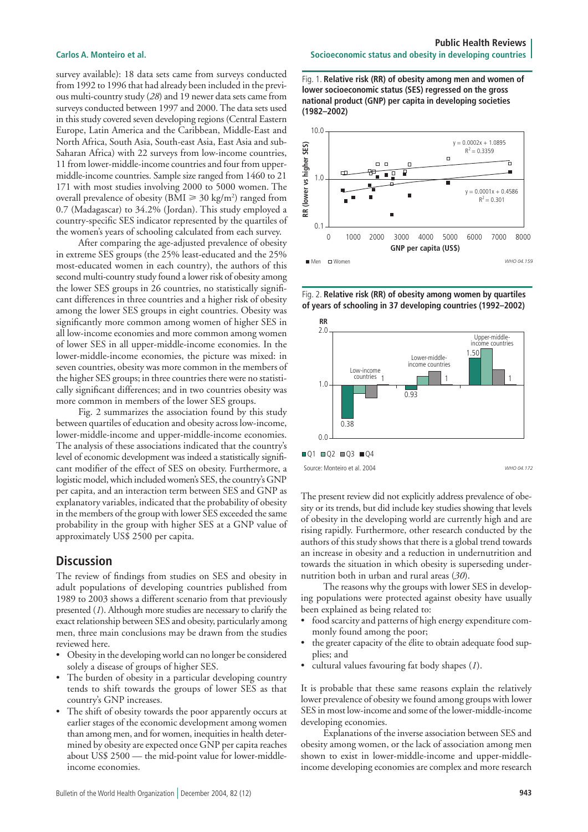survey available): 18 data sets came from surveys conducted from 1992 to 1996 that had already been included in the previous multi-country study (*28*) and 19 newer data sets came from surveys conducted between 1997 and 2000. The data sets used in this study covered seven developing regions (Central Eastern Europe, Latin America and the Caribbean, Middle-East and North Africa, South Asia, South-east Asia, East Asia and sub-Saharan Africa) with 22 surveys from low-income countries, 11 from lower-middle-income countries and four from uppermiddle-income countries. Sample size ranged from 1460 to 21 171 with most studies involving 2000 to 5000 women. The overall prevalence of obesity (BMI  $\geq 30 \text{ kg/m}^2$ ) ranged from 0.7 (Madagascar) to 34.2% (Jordan). This study employed a country-specific SES indicator represented by the quartiles of the women's years of schooling calculated from each survey.

After comparing the age-adjusted prevalence of obesity in extreme SES groups (the 25% least-educated and the 25% most-educated women in each country), the authors of this second multi-country study found a lower risk of obesity among the lower SES groups in 26 countries, no statistically significant differences in three countries and a higher risk of obesity among the lower SES groups in eight countries. Obesity was significantly more common among women of higher SES in all low-income economies and more common among women of lower SES in all upper-middle-income economies. In the lower-middle-income economies, the picture was mixed: in seven countries, obesity was more common in the members of the higher SES groups; in three countries there were no statistically significant differences; and in two countries obesity was more common in members of the lower SES groups.

Fig. 2 summarizes the association found by this study between quartiles of education and obesity across low-income, lower-middle-income and upper-middle-income economies. The analysis of these associations indicated that the country's level of economic development was indeed a statistically significant modifier of the effect of SES on obesity. Furthermore, a logistic model, which included women's SES, the country's GNP per capita, and an interaction term between SES and GNP as explanatory variables, indicated that the probability of obesity in the members of the group with lower SES exceeded the same probability in the group with higher SES at a GNP value of approximately US\$ 2500 per capita.

# **Discussion**

The review of findings from studies on SES and obesity in adult populations of developing countries published from 1989 to 2003 shows a different scenario from that previously presented (*1*). Although more studies are necessary to clarify the exact relationship between SES and obesity, particularly among men, three main conclusions may be drawn from the studies reviewed here.

- Obesity in the developing world can no longer be considered solely a disease of groups of higher SES.
- The burden of obesity in a particular developing country tends to shift towards the groups of lower SES as that country's GNP increases.
- The shift of obesity towards the poor apparently occurs at earlier stages of the economic development among women than among men, and for women, inequities in health determined by obesity are expected once GNP per capita reaches about US\$ 2500 — the mid-point value for lower-middleincome economies.

Fig. 1. **Relative risk (RR) of obesity among men and women of lower socioeconomic status (SES) regressed on the gross national product (GNP) per capita in developing societies (1982–2002)**



Fig. 2. **Relative risk (RR) of obesity among women by quartiles of years of schooling in 37 developing countries (1992–2002)**



Source: Monteiro et al. 2004

The present review did not explicitly address prevalence of obesity or its trends, but did include key studies showing that levels of obesity in the developing world are currently high and are rising rapidly. Furthermore, other research conducted by the authors of this study shows that there is a global trend towards an increase in obesity and a reduction in undernutrition and towards the situation in which obesity is superseding undernutrition both in urban and rural areas (*30*).

The reasons why the groups with lower SES in developing populations were protected against obesity have usually been explained as being related to:

- food scarcity and patterns of high energy expenditure commonly found among the poor;
- the greater capacity of the élite to obtain adequate food supplies; and
- cultural values favouring fat body shapes (*1*).

It is probable that these same reasons explain the relatively lower prevalence of obesity we found among groups with lower SES in most low-income and some of the lower-middle-income developing economies.

Explanations of the inverse association between SES and obesity among women, or the lack of association among men shown to exist in lower-middle-income and upper-middleincome developing economies are complex and more research

*WHO 04.172*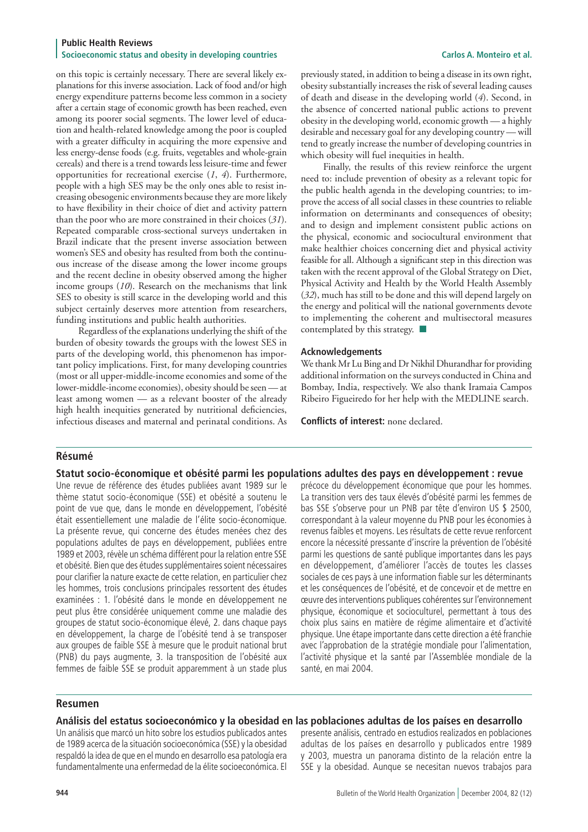### **Public Health Reviews**

#### Socioeconomic status and obesity in developing countries **Carlos A. Monteiro et al.** Carlos A. Monteiro et al.

on this topic is certainly necessary. There are several likely explanations for this inverse association. Lack of food and/or high energy expenditure patterns become less common in a society after a certain stage of economic growth has been reached, even among its poorer social segments. The lower level of education and health-related knowledge among the poor is coupled with a greater difficulty in acquiring the more expensive and less energy-dense foods (e.g. fruits, vegetables and whole-grain cereals) and there is a trend towards less leisure-time and fewer opportunities for recreational exercise (*1*, *4*). Furthermore, people with a high SES may be the only ones able to resist increasing obesogenic environments because they are more likely to have flexibility in their choice of diet and activity pattern than the poor who are more constrained in their choices (*31*). Repeated comparable cross-sectional surveys undertaken in Brazil indicate that the present inverse association between women's SES and obesity has resulted from both the continuous increase of the disease among the lower income groups and the recent decline in obesity observed among the higher income groups (*10*). Research on the mechanisms that link SES to obesity is still scarce in the developing world and this subject certainly deserves more attention from researchers, funding institutions and public health authorities.

Regardless of the explanations underlying the shift of the burden of obesity towards the groups with the lowest SES in parts of the developing world, this phenomenon has important policy implications. First, for many developing countries (most or all upper-middle-income economies and some of the lower-middle-income economies), obesity should be seen — at least among women — as a relevant booster of the already high health inequities generated by nutritional deficiencies, infectious diseases and maternal and perinatal conditions. As

previously stated, in addition to being a disease in its own right, obesity substantially increases the risk of several leading causes of death and disease in the developing world (*4*). Second, in the absence of concerted national public actions to prevent obesity in the developing world, economic growth — a highly desirable and necessary goal for any developing country — will tend to greatly increase the number of developing countries in which obesity will fuel inequities in health.

Finally, the results of this review reinforce the urgent need to: include prevention of obesity as a relevant topic for the public health agenda in the developing countries; to improve the access of all social classes in these countries to reliable information on determinants and consequences of obesity; and to design and implement consistent public actions on the physical, economic and sociocultural environment that make healthier choices concerning diet and physical activity feasible for all. Although a significant step in this direction was taken with the recent approval of the Global Strategy on Diet, Physical Activity and Health by the World Health Assembly (*32*), much has still to be done and this will depend largely on the energy and political will the national governments devote to implementing the coherent and multisectoral measures contemplated by this strategy.  $\blacksquare$ 

#### **Acknowledgements**

We thank Mr Lu Bing and Dr Nikhil Dhurandhar for providing additional information on the surveys conducted in China and Bombay, India, respectively. We also thank Iramaia Campos Ribeiro Figueiredo for her help with the MEDLINE search.

**Conflicts of interest:** none declared.

### **Résumé**

#### **Statut socio-économique et obésité parmi les populations adultes des pays en développement : revue**

Une revue de référence des études publiées avant 1989 sur le thème statut socio-économique (SSE) et obésité a soutenu le point de vue que, dans le monde en développement, l'obésité était essentiellement une maladie de l'élite socio-économique. La présente revue, qui concerne des études menées chez des populations adultes de pays en développement, publiées entre 1989 et 2003, révèle un schéma différent pour la relation entre SSE et obésité. Bien que des études supplémentaires soient nécessaires pour clarifier la nature exacte de cette relation, en particulier chez les hommes, trois conclusions principales ressortent des études examinées : 1. l'obésité dans le monde en développement ne peut plus être considérée uniquement comme une maladie des groupes de statut socio-économique élevé, 2. dans chaque pays en développement, la charge de l'obésité tend à se transposer aux groupes de faible SSE à mesure que le produit national brut (PNB) du pays augmente, 3. la transposition de l'obésité aux femmes de faible SSE se produit apparemment à un stade plus

précoce du développement économique que pour les hommes. La transition vers des taux élevés d'obésité parmi les femmes de bas SSE s'observe pour un PNB par tête d'environ US \$ 2500, correspondant à la valeur moyenne du PNB pour les économies à revenus faibles et moyens. Les résultats de cette revue renforcent encore la nécessité pressante d'inscrire la prévention de l'obésité parmi les questions de santé publique importantes dans les pays en développement, d'améliorer l'accès de toutes les classes sociales de ces pays à une information fiable sur les déterminants et les conséquences de l'obésité, et de concevoir et de mettre en œuvre des interventions publiques cohérentes sur l'environnement physique, économique et socioculturel, permettant à tous des choix plus sains en matière de régime alimentaire et d'activité physique. Une étape importante dans cette direction a été franchie avec l'approbation de la stratégie mondiale pour l'alimentation, l'activité physique et la santé par l'Assemblée mondiale de la santé, en mai 2004.

#### **Resumen**

### **Análisis del estatus socioeconómico y la obesidad en las poblaciones adultas de los países en desarrollo**

Un análisis que marcó un hito sobre los estudios publicados antes de 1989 acerca de la situación socioeconómica (SSE) y la obesidad respaldó la idea de que en el mundo en desarrollo esa patología era fundamentalmente una enfermedad de la élite socioeconómica. El

presente análisis, centrado en estudios realizados en poblaciones adultas de los países en desarrollo y publicados entre 1989 y 2003, muestra un panorama distinto de la relación entre la SSE y la obesidad. Aunque se necesitan nuevos trabajos para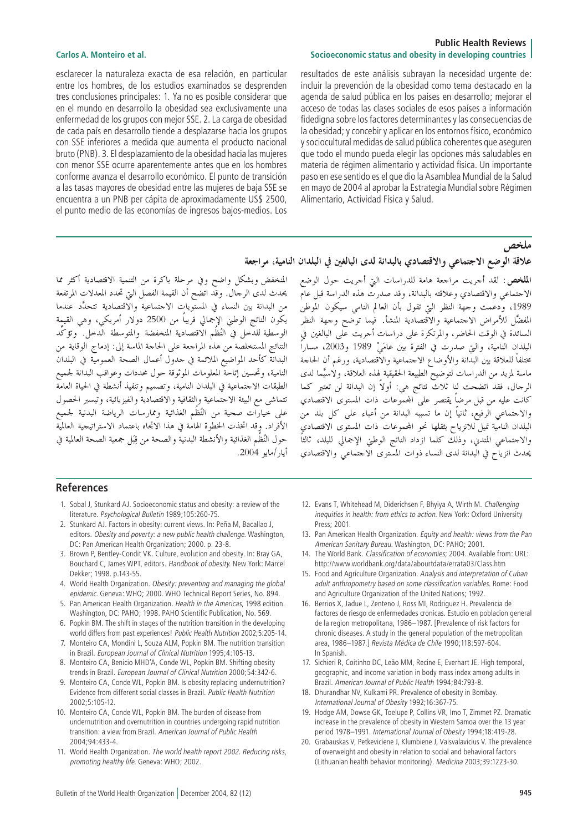esclarecer la naturaleza exacta de esa relación, en particular entre los hombres, de los estudios examinados se desprenden tres conclusiones principales: 1. Ya no es posible considerar que en el mundo en desarrollo la obesidad sea exclusivamente una enfermedad de los grupos con mejor SSE. 2. La carga de obesidad de cada país en desarrollo tiende a desplazarse hacia los grupos con SSE inferiores a medida que aumenta el producto nacional bruto (PNB). 3. El desplazamiento de la obesidad hacia las mujeres con menor SSE ocurre aparentemente antes que en los hombres conforme avanza el desarrollo económico. El punto de transición a las tasas mayores de obesidad entre las mujeres de baja SSE se encuentra a un PNB per cápita de aproximadamente US\$ 2500, el punto medio de las economías de ingresos bajos-medios. Los

### **Public Health Reviews Carlos A. Monteiro et al. Socioeconomic status and obesity in developing countries**

resultados de este análisis subrayan la necesidad urgente de: incluir la prevención de la obesidad como tema destacado en la agenda de salud pública en los países en desarrollo; mejorar el acceso de todas las clases sociales de esos países a información fidedigna sobre los factores determinantes y las consecuencias de la obesidad; y concebir y aplicar en los entornos físico, económico y sociocultural medidas de salud pública coherentes que aseguren que todo el mundo pueda elegir las opciones más saludables en materia de régimen alimentario y actividad física. Un importante paso en ese sentido es el que dio la Asamblea Mundial de la Salud en mayo de 2004 al aprobar la Estrategia Mundial sobre Régimen Alimentario, Actividad Física y Salud.

# ملخص

## علاقة الوضع الاجتماعي والاقتصادي بالبدانة لدى البالغين في البلدان النامية، مراجعة

المنخفض وبشكل واضح وفي مرحلة باكرة من التنمية الاقتصادية أكثر مما يحدث لدى الرحال. وقدَّ اتضح أن القيمة الفصل التي تحدد المعدلات المرتفعة من البدانة بين النساء في المستويات الاجتماعية والْاقتصادية تتحدَّد عندما يكون الناتج الوطني الإجمالي قريباً من 2500 دولار أمريكي، وهي القيمة الوسطية للدخل فيَّ النُظُم الاقتصادية المنخفضة والمتوسطة الدخل. َّ وتؤكَّد النتائج المستخلصة من هذه المراجعة على الحاجة الماسة إلى: إدماج الوقاية من البدانة كأحد المواضيع الملائمة في جدول أعمال الصحة العموميَّة في البلدان النامية، وتحسين إتاحة المعلومات الموثوقة حول محددات وعواقب البدانة لجميع الطبقات الاجتماعية في البلدان النامية، وتصميم وتنفيذ أنشطة في الحياة العامة تتماشى مع البيئة الاجتماعية والثقافية والاقتصادية والفيزيائية، وتيسير الحصول على خيارات صحية من النُظُم الغذائية وممارسات الرياضة البدنية لجميع الأفراد. وقد اتخذت الخطوة الهامة في هذا الاتحاه باعتماد الاستراتيجية العالمية حول النُظُم الغذائية والأنشطة البدنية والصحة من قِبَل جمعية الصحة العالمية في أيا, /مايو 2004.

ا**لملخص:** لقد أجريت مراجعة هامة للدراسات التي أجريت حول الوضع الاجتماعي والاقتصادي وعلاقته بالبدانة، وقد صدرت هذه الدراسة قبل عام 1989، ودعمت وجهة النظر التي تقول بأن العالم النامي سيكون الموطن المفضَّل للأمراض الاحتماعية والاقتصادية المنشأ. فيما توصُّح وجهة النظر السائدة في الوقت الحاضر، والمرتكزة على دراسات أجريت على البالغين في البلدان النامية، والتي صدرت في الفترة بين عامَىْ 1989 و2003، مساراً مختلفاً للعلاقة بين البدانة والأوضاع الاحتماعية والاقتصادية، ورغم أن الحاحة ماسة لمزيد من الدراسات لتوضيح الطبيعة الحقيقية لهذه العلاقة، ولاسيَّما لدى الرجال، فقد اتضحت لنا ثلاثٌ نتائج هي: أولاً إن البدانة لن تعتبر كما كانت عليه من قبل مرضاً يقتصر على المحموعات ذات المستوى الاقتصادي والاجتماعي الرفيع، ثانياً إن ما تسببه البدانة من أعباء على كل بلد من البلدان النامية تميل للانزياح بثقلها نحو المحموعات ذات المستوى الاقتصادي والاحتماعي المتدين، وذلك كلما ازداد الناتج الوطين الإجمالي للبلد، ثالثاً يحدث انزياح في البدانة لدى النساء ذوات المستوى الاجتماعي والاقتصادي

### **References**

- 1. Sobal J, Stunkard AJ. Socioeconomic status and obesity: a review of the literature. Psychological Bulletin 1989;105:260-75.
- 2. Stunkard AJ. Factors in obesity: current views. In: Peña M, Bacallao J, editors. Obesity and poverty: a new public health challenge. Washington, DC: Pan American Health Organization; 2000. p. 23-8.
- 3. Brown P, Bentley-Condit VK. Culture, evolution and obesity. In: Bray GA, Bouchard C, James WPT, editors. Handbook of obesity. New York: Marcel Dekker; 1998. p.143-55.
- 4. World Health Organization. Obesity: preventing and managing the global epidemic. Geneva: WHO; 2000. WHO Technical Report Series, No. 894.
- Pan American Health Organization. Health in the Americas, 1998 edition. Washington, DC: PAHO; 1998. PAHO Scientific Publication, No. 569.
- 6. Popkin BM. The shift in stages of the nutrition transition in the developing world differs from past experiences! Public Health Nutrition 2002;5:205-14.
- 7. Monteiro CA, Mondini L, Souza ALM, Popkin BM. The nutrition transition in Brazil. European Journal of Clinical Nutrition 1995;4:105-13.
- 8. Monteiro CA, Benicio MHD'A, Conde WL, Popkin BM. Shifting obesity trends in Brazil. European Journal of Clinical Nutrition 2000;54:342-6.
- Monteiro CA, Conde WL, Popkin BM. Is obesity replacing undernutrition? Evidence from different social classes in Brazil. Public Health Nutrition 2002;5:105-12.
- 10. Monteiro CA, Conde WL, Popkin BM. The burden of disease from undernutrition and overnutrition in countries undergoing rapid nutrition transition: a view from Brazil. American Journal of Public Health 2004;94:433-4.
- 11. World Health Organization. The world health report 2002. Reducing risks, promoting healthy life. Geneva: WHO; 2002.
- 12. Evans T, Whitehead M, Diderichsen F, Bhyiya A, Wirth M. Challenging inequities in health: from ethics to action. New York: Oxford University Press; 2001.
- 13. Pan American Health Organization. Equity and health: views from the Pan American Sanitary Bureau. Washington, DC: PAHO; 2001.
- 14. The World Bank. Classification of economies; 2004. Available from: URL: http://www.worldbank.org/data/abourtdata/errata03/Class.htm
- 15. Food and Agriculture Organization. Analysis and interpretation of Cuban adult anthropometry based on some classification variables. Rome: Food and Agriculture Organization of the United Nations; 1992.
- 16. Berrios X, Jadue L, Zenteno J, Ross MI, Rodriguez H. Prevalencia de factores de riesgo de enfermedades cronicas. Estudio en poblacion general de la region metropolitana, 1986–1987. [Prevalence of risk factors for chronic diseases. A study in the general population of the metropolitan area, 1986–1987.] Revista Médica de Chile 1990;118:597-604. In Spanish.
- 17. Sichieri R, Coitinho DC, Leão MM, Recine E, Everhart JE. High temporal, geographic, and income variation in body mass index among adults in Brazil. American Journal of Public Health 1994;84:793-8.
- 18. Dhurandhar NV, Kulkami PR. Prevalence of obesity in Bombay. International Journal of Obesity 1992;16:367-75.
- 19. Hodge AM, Dowse GK, Toelupe P, Collins VR, Imo T, Zimmet PZ. Dramatic increase in the prevalence of obesity in Western Samoa over the 13 year period 1978–1991. International Journal of Obesity 1994;18:419-28.
- 20. Grabauskas V, Petkeviciene J, Klumbiene J, Vaisvalavicius V. The prevalence of overweight and obesity in relation to social and behavioral factors (Lithuanian health behavior monitoring). Medicina 2003;39:1223-30.